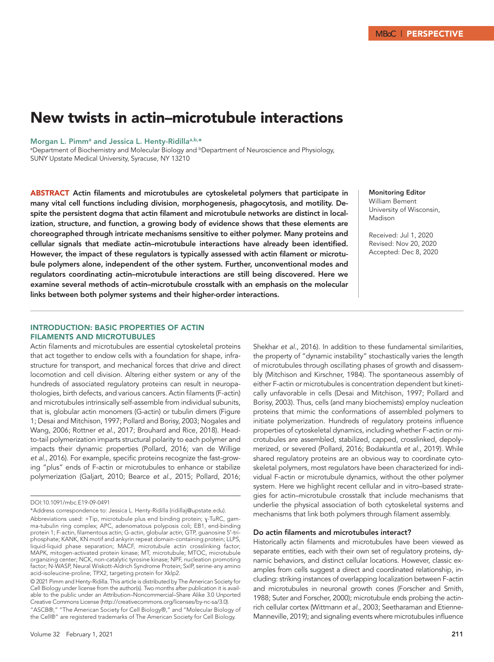# New twists in actin–microtubule interactions

#### Morgan L. Pimm<sup>a</sup> and Jessica L. Henty-Ridilla<sup>a,b,\*</sup>

aDepartment of Biochemistry and Molecular Biology and **bDepartment of Neuroscience and Physiology**, SUNY Upstate Medical University, Syracuse, NY 13210

ABSTRACT Actin filaments and microtubules are cytoskeletal polymers that participate in many vital cell functions including division, morphogenesis, phagocytosis, and motility. Despite the persistent dogma that actin filament and microtubule networks are distinct in localization, structure, and function, a growing body of evidence shows that these elements are choreographed through intricate mechanisms sensitive to either polymer. Many proteins and cellular signals that mediate actin–microtubule interactions have already been identified. However, the impact of these regulators is typically assessed with actin filament or microtubule polymers alone, independent of the other system. Further, unconventional modes and regulators coordinating actin–microtubule interactions are still being discovered. Here we examine several methods of actin–microtubule crosstalk with an emphasis on the molecular links between both polymer systems and their higher-order interactions.

### Monitoring Editor William Bement University of Wisconsin, Madison

Received: Jul 1, 2020 Revised: Nov 20, 2020 Accepted: Dec 8, 2020

## INTRODUCTION: BASIC PROPERTIES OF ACTIN FILAMENTS AND MICROTUBULES

Actin filaments and microtubules are essential cytoskeletal proteins that act together to endow cells with a foundation for shape, infrastructure for transport, and mechanical forces that drive and direct locomotion and cell division. Altering either system or any of the hundreds of associated regulatory proteins can result in neuropathologies, birth defects, and various cancers. Actin filaments (F-actin) and microtubules intrinsically self-assemble from individual subunits, that is, globular actin monomers (G-actin) or tubulin dimers (Figure 1; Desai and Mitchison, 1997; Pollard and Borisy, 2003; Nogales and Wang, 2006; Rottner *et al.*, 2017; Brouhard and Rice, 2018). Headto-tail polymerization imparts structural polarity to each polymer and impacts their dynamic properties (Pollard, 2016; van de Willige *et al.*, 2016). For example, specific proteins recognize the fast-growing "plus" ends of F-actin or microtubules to enhance or stabilize polymerization (Galjart, 2010; Bearce *et al.*, 2015; Pollard, 2016;

© 2021 Pimm and Henty-Ridilla. This article is distributed by The American Society for Cell Biology under license from the author(s). Two months after publication it is available to the public under an Attribution–Noncommercial–Share Alike 3.0 Unported Creative Commons License (http://creativecommons.org/licenses/by-nc-sa/3.0). "ASCB®," "The American Society for Cell Biology®," and "Molecular Biology of the Cell®" are registered trademarks of The American Society for Cell Biology.

Shekhar *et al.*, 2016). In addition to these fundamental similarities, the property of "dynamic instability" stochastically varies the length of microtubules through oscillating phases of growth and disassembly (Mitchison and Kirschner, 1984). The spontaneous assembly of either F-actin or microtubules is concentration dependent but kinetically unfavorable in cells (Desai and Mitchison, 1997; Pollard and Borisy, 2003). Thus, cells (and many biochemists) employ nucleation proteins that mimic the conformations of assembled polymers to initiate polymerization. Hundreds of regulatory proteins influence properties of cytoskeletal dynamics, including whether F-actin or microtubules are assembled, stabilized, capped, crosslinked, depolymerized, or severed (Pollard, 2016; Bodakuntla *et al.*, 2019). While shared regulatory proteins are an obvious way to coordinate cytoskeletal polymers, most regulators have been characterized for individual F-actin or microtubule dynamics, without the other polymer system. Here we highlight recent cellular and in vitro–based strategies for actin–microtubule crosstalk that include mechanisms that underlie the physical association of both cytoskeletal systems and mechanisms that link both polymers through filament assembly.

## Do actin filaments and microtubules interact?

Historically actin filaments and microtubules have been viewed as separate entities, each with their own set of regulatory proteins, dynamic behaviors, and distinct cellular locations. However, classic examples from cells suggest a direct and coordinated relationship, including: striking instances of overlapping localization between F-actin and microtubules in neuronal growth cones (Forscher and Smith, 1988; Suter and Forscher, 2000); microtubule ends probing the actinrich cellular cortex (Wittmann *et al.*, 2003; Seetharaman and Etienne-Manneville, 2019); and signaling events where microtubules influence

DOI:10.1091/mbc.E19-09-0491

<sup>\*</sup>Address correspondence to: Jessica L. Henty-Ridilla (ridillaj@upstate.edu).

Abbreviations used: +Tip, microtubule plus end binding protein; ɣ-TuRC, gamma-tubulin ring complex; APC, adenomatous polyposis coli; EB1, end-binding protein 1; F-actin, filamentous actin; G-actin, globular actin; GTP, guanosine 5′-triphosphate; KANK, KN motif and ankyrin repeat domain-containing protein; LLPS, liquid-liquid phase separation; MACF, microtubule actin crosslinking factor; MAPK, mitogen-activated protein kinase; MT, microtubule; MTOC, microtubule organizing center; NCK, non-catalytic tyrosine kinase; NPF, nucleation promoting factor; N-WASP, Neural Wiskott-Aldrich Syndrome Protein; SxIP, serine-any amino acid-isoleucine-proline; TPX2, targeting protein for Xklp2.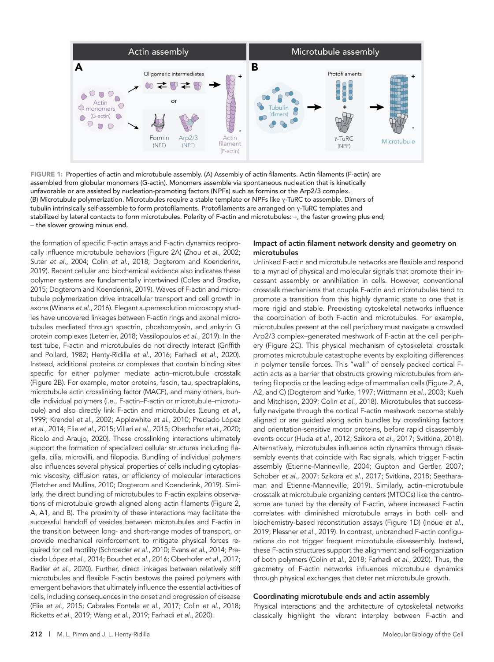

FIGURE 1: Properties of actin and microtubule assembly. (A) Assembly of actin filaments. Actin filaments (F-actin) are assembled from globular monomers (G-actin). Monomers assemble via spontaneous nucleation that is kinetically unfavorable or are assisted by nucleation-promoting factors (NPFs) such as formins or the Arp2/3 complex. (B) Microtubule polymerization. Microtubules require a stable template or NPFs like ɣ-TuRC to assemble. Dimers of tubulin intrinsically self-assemble to form protofilaments. Protofilaments are arranged on ɣ-TuRC templates and stabilized by lateral contacts to form microtubules. Polarity of F-actin and microtubules: +, the faster growing plus end; − the slower growing minus end.

the formation of specific F-actin arrays and F-actin dynamics reciprocally influence microtubule behaviors (Figure 2A) (Zhou *et al.*, 2002; Suter *et al.*, 2004; Colin *et al.*, 2018; Dogterom and Koenderink, 2019). Recent cellular and biochemical evidence also indicates these polymer systems are fundamentally intertwined (Coles and Bradke, 2015; Dogterom and Koenderink, 2019). Waves of F-actin and microtubule polymerization drive intracellular transport and cell growth in axons (Winans *et al.*, 2016). Elegant superresolution microscopy studies have uncovered linkages between F-actin rings and axonal microtubules mediated through spectrin, phoshomyosin, and ankyrin G protein complexes (Leterrier, 2018; Vassilopoulos *et al.*, 2019). In the test tube, F-actin and microtubules do not directly interact (Griffith and Pollard, 1982; Henty-Ridilla *et al.*, 2016; Farhadi *et al.*, 2020). Instead, additional proteins or complexes that contain binding sites specific for either polymer mediate actin–microtubule crosstalk (Figure 2B). For example, motor proteins, fascin, tau, spectraplakins, microtubule actin crosslinking factor (MACF), and many others, bundle individual polymers (i.e., F-actin–F-actin or microtubule–microtubule) and also directly link F-actin and microtubules (Leung *et al.*, 1999; Krendel *et al.*, 2002; Applewhite *et al.*, 2010; Preciado López *et al.*, 2014; Elie *et al.*, 2015; Villari *et al.*, 2015; Oberhofer *et al.*, 2020; Ricolo and Araujo, 2020). These crosslinking interactions ultimately support the formation of specialized cellular structures including flagella, cilia, microvilli, and filopodia. Bundling of individual polymers also influences several physical properties of cells including cytoplasmic viscosity, diffusion rates, or efficiency of molecular interactions (Fletcher and Mullins, 2010; Dogterom and Koenderink, 2019). Similarly, the direct bundling of microtubules to F-actin explains observations of microtubule growth aligned along actin filaments (Figure 2, A, A1, and B). The proximity of these interactions may facilitate the successful handoff of vesicles between microtubules and F-actin in the transition between long- and short-range modes of transport, or provide mechanical reinforcement to mitigate physical forces required for cell motility (Schroeder *et al.*, 2010; Evans *et al.*, 2014; Preciado López *et al.*, 2014; Bouchet *et al.*, 2016; Oberhofer *et al.*, 2017; Radler *et al.*, 2020). Further, direct linkages between relatively stiff microtubules and flexible F-actin bestows the paired polymers with emergent behaviors that ultimately influence the essential activities of cells, including consequences in the onset and progression of disease (Elie *et al.*, 2015; Cabrales Fontela *et al.*, 2017; Colin *et al.*, 2018; Ricketts *et al.*, 2019; Wang *et al.*, 2019; Farhadi *et al.*, 2020).

## Impact of actin filament network density and geometry on microtubules

Unlinked F-actin and microtubule networks are flexible and respond to a myriad of physical and molecular signals that promote their incessant assembly or annihilation in cells. However, conventional crosstalk mechanisms that couple F-actin and microtubules tend to promote a transition from this highly dynamic state to one that is more rigid and stable. Preexisting cytoskeletal networks influence the coordination of both F-actin and microtubules. For example, microtubules present at the cell periphery must navigate a crowded Arp2/3 complex–generated meshwork of F-actin at the cell periphery (Figure 2C). This physical mechanism of cytoskeletal crosstalk promotes microtubule catastrophe events by exploiting differences in polymer tensile forces. This "wall" of densely packed cortical Factin acts as a barrier that obstructs growing microtubules from entering filopodia or the leading edge of mammalian cells (Figure 2, A, A2, and C) (Dogterom and Yurke, 1997; Wittmann *et al.*, 2003; Kueh and Mitchison, 2009; Colin *et al.*, 2018). Microtubules that successfully navigate through the cortical F-actin meshwork become stably aligned or are guided along actin bundles by crosslinking factors and orientation-sensitive motor proteins, before rapid disassembly events occur (Huda *et al.*, 2012; Szikora *et al.*, 2017; Svitkina, 2018). Alternatively, microtubules influence actin dynamics through disassembly events that coincide with Rac signals, which trigger F-actin assembly (Etienne-Manneville, 2004; Gupton and Gertler, 2007; Schober *et al.*, 2007; Szikora *et al.*, 2017; Svitkina, 2018; Seetharaman and Etienne-Manneville, 2019). Similarly, actin–microtubule crosstalk at microtubule organizing centers (MTOCs) like the centrosome are tuned by the density of F-actin, where increased F-actin correlates with diminished microtubule arrays in both cell- and biochemistry-based reconstitution assays (Figure 1D) (Inoue *et al.*, 2019; Plessner *et al.*, 2019). In contrast, unbranched F-actin configurations do not trigger frequent microtubule disassembly. Instead, these F-actin structures support the alignment and self-organization of both polymers (Colin *et al.*, 2018; Farhadi *et al.*, 2020). Thus, the geometry of F-actin networks influences microtubule dynamics through physical exchanges that deter net microtubule growth.

## Coordinating microtubule ends and actin assembly

Physical interactions and the architecture of cytoskeletal networks classically highlight the vibrant interplay between F-actin and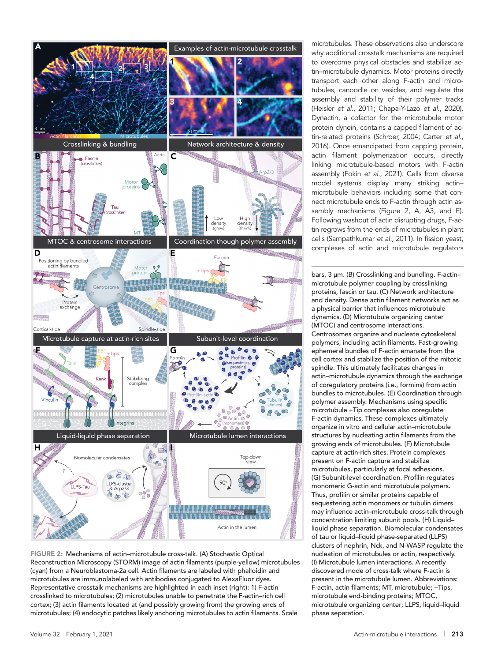

FIGURE 2: Mechanisms of actin–microtubule cross-talk. (A) Stochastic Optical Reconstruction Microscopy (STORM) image of actin filaments (purple-yellow) microtubules (cyan) from a Neuroblastoma-2a cell. Actin filaments are labeled with phalloidin and microtubules are immunolabeled with antibodies conjugated to AlexaFluor dyes. Representative crosstalk mechanisms are highlighted in each inset (right): 1) F-actin crosslinked to microtubules; (2) microtubules unable to penetrate the F-actin–rich cell cortex; (3) actin filaments located at (and possibly growing from) the growing ends of microtubules; (4) endocytic patches likely anchoring microtubules to actin filaments. Scale

microtubules. These observations also underscore why additional crosstalk mechanisms are required to overcome physical obstacles and stabilize actin–microtubule dynamics. Motor proteins directly transport each other along F-actin and microtubules, canoodle on vesicles, and regulate the assembly and stability of their polymer tracks (Heisler *et al.*, 2011; Chapa-Y-Lazo *et al.*, 2020). Dynactin, a cofactor for the microtubule motor protein dynein, contains a capped filament of actin-related proteins (Schroer, 2004; Carter *et al.*, 2016). Once emancipated from capping protein, actin filament polymerization occurs, directly linking microtubule-based motors with F-actin assembly (Fokin *et al.*, 2021). Cells from diverse model systems display many striking actin– microtubule behaviors including some that connect microtubule ends to F-actin through actin assembly mechanisms (Figure 2, A, A3, and E). Following washout of actin disrupting drugs, F-actin regrows from the ends of microtubules in plant cells (Sampathkumar *et al.*, 2011). In fission yeast, complexes of actin and microtubule regulators

bars, 3 µm. (B) Crosslinking and bundling. F-actin– microtubule polymer coupling by crosslinking proteins, fascin or tau. (C) Network architecture and density. Dense actin filament networks act as a physical barrier that influences microtubule dynamics. (D) Microtubule organizing center (MTOC) and centrosome interactions. Centrosomes organize and nucleate cytoskeletal polymers, including actin filaments. Fast-growing ephemeral bundles of F-actin emanate from the cell cortex and stabilize the position of the mitotic spindle. This ultimately facilitates changes in actin–microtubule dynamics through the exchange of coregulatory proteins (i.e., formins) from actin bundles to microtubules. (E) Coordination through polymer assembly. Mechanisms using specific microtubule +Tip complexes also coregulate F-actin dynamics. These complexes ultimately organize in vitro and cellular actin–microtubule structures by nucleating actin filaments from the growing ends of microtubules. (F) Microtubule capture at actin-rich sites. Protein complexes present on F-actin capture and stabilize microtubules, particularly at focal adhesions. (G) Subunit-level coordination. Profilin regulates monomeric G-actin and microtubule polymers. Thus, profilin or similar proteins capable of sequestering actin monomers or tubulin dimers may influence actin–microtubule cross-talk through concentration limiting subunit pools. (H) Liquid– liquid phase separation. Biomolecular condensates of tau or liquid–liquid phase-separated (LLPS) clusters of nephrin, Nck, and N-WASP regulate the nucleation of microtubules or actin, respectively. (I) Microtubule lumen interactions. A recently discovered mode of cross-talk where F-actin is present in the microtubule lumen. Abbreviations: F-actin, actin filaments; MT, microtubule; +Tips, microtubule end-binding proteins; MTOC, microtubule organizing center; LLPS, liquid–liquid phase separation.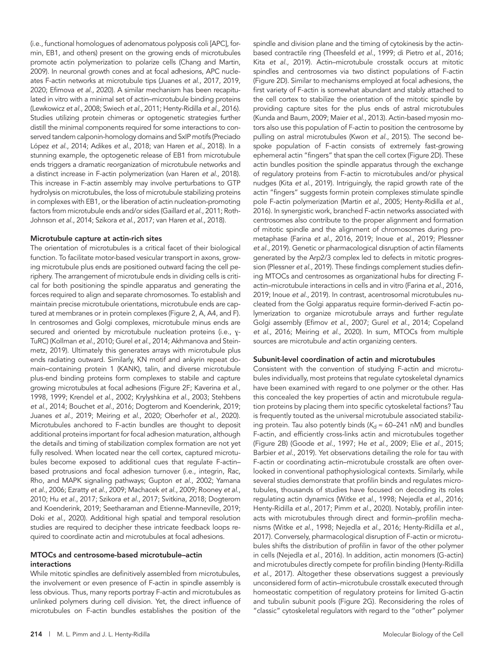(i.e., functional homologues of adenomatous polyposis coli [APC], formin, EB1, and others) present on the growing ends of microtubules promote actin polymerization to polarize cells (Chang and Martin, 2009). In neuronal growth cones and at focal adhesions, APC nucleates F-actin networks at microtubule tips (Juanes *et al.*, 2017, 2019, 2020; Efimova *et al.*, 2020). A similar mechanism has been recapitulated in vitro with a minimal set of actin–microtubule binding proteins (Lewkowicz *et al.*, 2008; Swiech *et al.*, 2011; Henty-Ridilla *et al.*, 2016). Studies utilizing protein chimeras or optogenetic strategies further distill the minimal components required for some interactions to conserved tandem calponin-homology domains and SxIP motifs (Preciado López *et al.*, 2014; Adikes *et al.*, 2018; van Haren *et al.*, 2018). In a stunning example, the optogenetic release of EB1 from microtubule ends triggers a dramatic reorganization of microtubule networks and a distinct increase in F-actin polymerization (van Haren *et al.*, 2018). This increase in F-actin assembly may involve perturbations to GTP hydrolysis on microtubules, the loss of microtubule stabilizing proteins in complexes with EB1, or the liberation of actin nucleation-promoting factors from microtubule ends and/or sides (Gaillard *et al.*, 2011; Roth-Johnson *et al.*, 2014; Szikora *et al.*, 2017; van Haren *et al.*, 2018).

## Microtubule capture at actin-rich sites

The orientation of microtubules is a critical facet of their biological function. To facilitate motor-based vesicular transport in axons, growing microtubule plus ends are positioned outward facing the cell periphery. The arrangement of microtubule ends in dividing cells is critical for both positioning the spindle apparatus and generating the forces required to align and separate chromosomes. To establish and maintain precise microtubule orientations, microtubule ends are captured at membranes or in protein complexes (Figure 2, A, A4, and F). In centrosomes and Golgi complexes, microtubule minus ends are secured and oriented by microtubule nucleation proteins (i.e., y-TuRC) (Kollman *et al.*, 2010; Gurel *et al.*, 2014; Akhmanova and Steinmetz, 2019). Ultimately this generates arrays with microtubule plus ends radiating outward. Similarly, KN motif and ankyrin repeat domain–containing protein 1 (KANK), talin, and diverse microtubule plus-end binding proteins form complexes to stabile and capture growing microtubules at focal adhesions (Figure 2F; Kaverina *et al.*, 1998, 1999; Krendel *et al.*, 2002; Krylyshkina *et al.*, 2003; Stehbens *et al.*, 2014; Bouchet *et al.*, 2016; Dogterom and Koenderink, 2019; Juanes *et al.*, 2019; Meiring *et al.*, 2020; Oberhofer *et al.*, 2020). Microtubules anchored to F-actin bundles are thought to deposit additional proteins important for focal adhesion maturation, although the details and timing of stabilization complex formation are not yet fully resolved. When located near the cell cortex, captured microtubules become exposed to additional cues that regulate F-actin– based protrusions and focal adhesion turnover (i.e., integrin, Rac, Rho, and MAPK signaling pathways; Gupton *et al.*, 2002; Yamana *et al.*, 2006; Ezratty *et al.*, 2009; Machacek *et al.*, 2009; Rooney *et al.*, 2010; Hu *et al.*, 2017; Szikora *et al.*, 2017; Svitkina, 2018; Dogterom and Koenderink, 2019; Seetharaman and Etienne-Manneville, 2019; Doki *et al.*, 2020). Additional high spatial and temporal resolution studies are required to decipher these intricate feedback loops required to coordinate actin and microtubules at focal adhesions.

## MTOCs and centrosome-based microtubule–actin interactions

While mitotic spindles are definitively assembled from microtubules, the involvement or even presence of F-actin in spindle assembly is less obvious. Thus, many reports portray F-actin and microtubules as unlinked polymers during cell division. Yet, the direct influence of microtubules on F-actin bundles establishes the position of the

based contractile ring (Theesfeld *et al.*, 1999; di Pietro *et al.*, 2016; Kita *et al.*, 2019). Actin–microtubule crosstalk occurs at mitotic spindles and centrosomes via two distinct populations of F-actin (Figure 2D). Similar to mechanisms employed at focal adhesions, the first variety of F-actin is somewhat abundant and stably attached to the cell cortex to stabilize the orientation of the mitotic spindle by providing capture sites for the plus ends of astral microtubules (Kunda and Baum, 2009; Maier *et al.*, 2013). Actin-based myosin motors also use this population of F-actin to position the centrosome by pulling on astral microtubules (Kwon *et al.*, 2015). The second bespoke population of F-actin consists of extremely fast-growing ephemeral actin "fingers" that span the cell cortex (Figure 2D). These actin bundles position the spindle apparatus through the exchange of regulatory proteins from F-actin to microtubules and/or physical nudges (Kita *et al.*, 2019). Intriguingly, the rapid growth rate of the actin "fingers" suggests formin protein complexes stimulate spindle pole F-actin polymerization (Martin *et al.*, 2005; Henty-Ridilla *et al.*, 2016). In synergistic work, branched F-actin networks associated with centrosomes also contribute to the proper alignment and formation of mitotic spindle and the alignment of chromosomes during prometaphase (Farina *et al.*, 2016, 2019; Inoue *et al.*, 2019; Plessner *et al.*, 2019). Genetic or pharmacological disruption of actin filaments generated by the Arp2/3 complex led to defects in mitotic progression (Plessner *et al.*, 2019). These findings complement studies defining MTOCs and centrosomes as organizational hubs for directing Factin–microtubule interactions in cells and in vitro (Farina *et al.*, 2016, 2019; Inoue *et al.*, 2019). In contrast, acentrosomal microtubules nucleated from the Golgi apparatus require formin-derived F-actin polymerization to organize microtubule arrays and further regulate Golgi assembly (Efimov *et al.*, 2007; Gurel *et al.*, 2014; Copeland *et al.*, 2016; Meiring *et al.*, 2020). In sum, MTOCs from multiple sources are microtubule *and* actin organizing centers.

spindle and division plane and the timing of cytokinesis by the actin-

## Subunit-level coordination of actin and microtubules

Consistent with the convention of studying F-actin and microtubules individually, most proteins that regulate cytoskeletal dynamics have been examined with regard to one polymer or the other. Has this concealed the key properties of actin and microtubule regulation proteins by placing them into specific cytoskeletal factions? Tau is frequently touted as the universal microtubule associated stabilizing protein. Tau also potently binds ( $K_d \approx 60-241$  nM) and bundles F-actin, and efficiently cross-links actin and microtubules together (Figure 2B) (Goode *et al.*, 1997; He *et al.*, 2009; Elie *et al.*, 2015; Barbier *et al.*, 2019). Yet observations detailing the role for tau with F-actin or coordinating actin–microtubule crosstalk are often overlooked in conventional pathophysiological contexts. Similarly, while several studies demonstrate that profilin binds and regulates microtubules, thousands of studies have focused on decoding its roles regulating actin dynamics (Witke *et al.*, 1998; Nejedla *et al.*, 2016; Henty-Ridilla *et al.*, 2017; Pimm *et al.*, 2020). Notably, profilin interacts with microtubules through direct and formin–profilin mechanisms (Witke *et al.*, 1998; Nejedla *et al.*, 2016; Henty-Ridilla *et al.*, 2017). Conversely, pharmacological disruption of F-actin or microtubules shifts the distribution of profilin in favor of the other polymer in cells (Nejedla *et al.*, 2016). In addition, actin monomers (G-actin) and microtubules directly compete for profilin binding (Henty-Ridilla *et al.*, 2017). Altogether these observations suggest a previously unconsidered form of actin–microtubule crosstalk executed through homeostatic competition of regulatory proteins for limited G-actin and tubulin subunit pools (Figure 2G). Reconsidering the roles of "classic" cytoskeletal regulators with regard to the "other" polymer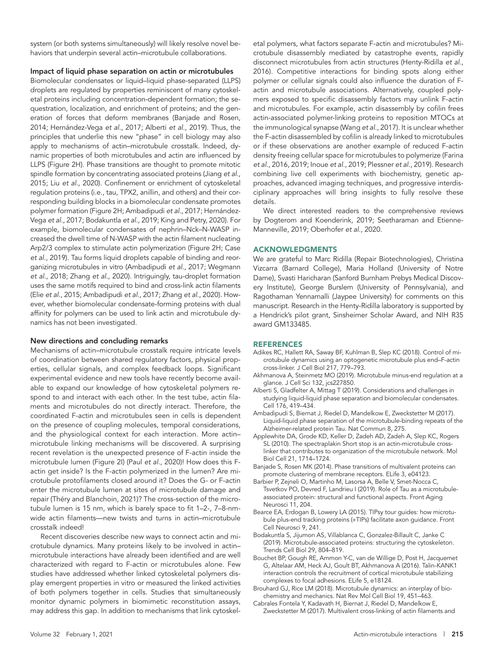system (or both systems simultaneously) will likely resolve novel behaviors that underpin several actin–microtubule collaborations.

## Impact of liquid phase separation on actin or microtubules

Biomolecular condensates or liquid–liquid phase-separated (LLPS) droplets are regulated by properties reminiscent of many cytoskeletal proteins including concentration-dependent formation; the sequestration, localization, and enrichment of proteins; and the generation of forces that deform membranes (Banjade and Rosen, 2014; Hernández-Vega *et al.*, 2017; Alberti *et al.*, 2019). Thus, the principles that underlie this new "phase" in cell biology may also apply to mechanisms of actin–microtubule crosstalk. Indeed, dynamic properties of both microtubules and actin are influenced by LLPS (Figure 2H). Phase transitions are thought to promote mitotic spindle formation by concentrating associated proteins (Jiang *et al.*, 2015; Liu *et al.*, 2020). Confinement or enrichment of cytoskeletal regulation proteins (i.e., tau, TPX2, anillin, and others) and their corresponding building blocks in a biomolecular condensate promotes polymer formation (Figure 2H; Ambadipudi *et al.*, 2017; Hernández-Vega *et al.*, 2017; Bodakuntla *et al.*, 2019; King and Petry, 2020). For example, biomolecular condensates of nephrin–Nck–N-WASP increased the dwell time of N-WASP with the actin filament nucleating Arp2/3 complex to stimulate actin polymerization (Figure 2H; Case *et al.*, 2019). Tau forms liquid droplets capable of binding and reorganizing microtubules in vitro (Ambadipudi *et al.*, 2017; Wegmann *et al.*, 2018; Zhang *et al.*, 2020). Intriguingly, tau-droplet formation uses the same motifs required to bind and cross-link actin filaments (Elie *et al.*, 2015; Ambadipudi *et al.*, 2017; Zhang *et al.*, 2020). However, whether biomolecular condensate-forming proteins with dual affinity for polymers can be used to link actin and microtubule dynamics has not been investigated.

#### New directions and concluding remarks

Mechanisms of actin–microtubule crosstalk require intricate levels of coordination between shared regulatory factors, physical properties, cellular signals, and complex feedback loops. Significant experimental evidence and new tools have recently become available to expand our knowledge of how cytoskeletal polymers respond to and interact with each other. In the test tube, actin filaments and microtubules do not directly interact. Therefore, the coordinated F-actin and microtubules seen in cells is dependent on the presence of coupling molecules, temporal considerations, and the physiological context for each interaction. More actin– microtubule linking mechanisms will be discovered. A surprising recent revelation is the unexpected presence of F-actin inside the microtubule lumen (Figure 2I) (Paul *et al.*, 2020)! How does this Factin get inside? Is the F-actin polymerized in the lumen? Are microtubule protofilaments closed around it? Does the G- or F-actin enter the microtubule lumen at sites of microtubule damage and repair (Théry and Blanchoin, 2021)? The cross-section of the microtubule lumen is 15 nm, which is barely space to fit 1–2-, 7–8-nmwide actin filaments—new twists and turns in actin–microtubule crosstalk indeed!

Recent discoveries describe new ways to connect actin and microtubule dynamics. Many proteins likely to be involved in actin– microtubule interactions have already been identified and are well characterized with regard to F-actin or microtubules alone. Few studies have addressed whether linked cytoskeletal polymers display emergent properties in vitro or measured the linked activities of both polymers together in cells. Studies that simultaneously monitor dynamic polymers in biomimetic reconstitution assays, may address this gap. In addition to mechanisms that link cytoskeletal polymers, what factors separate F-actin and microtubules? Microtubule disassembly mediated by catastrophe events, rapidly disconnect microtubules from actin structures (Henty-Ridilla *et al.*, 2016). Competitive interactions for binding spots along either polymer or cellular signals could also influence the duration of Factin and microtubule associations. Alternatively, coupled polymers exposed to specific disassembly factors may unlink F-actin and microtubules. For example, actin disassembly by cofilin frees actin-associated polymer-linking proteins to reposition MTOCs at the immunological synapse (Wang *et al.*, 2017). It is unclear whether the F-actin disassembled by cofilin is already linked to microtubules or if these observations are another example of reduced F-actin density freeing cellular space for microtubules to polymerize (Farina *et al.*, 2016, 2019; Inoue *et al.*, 2019; Plessner *et al.*, 2019). Research combining live cell experiments with biochemistry, genetic approaches, advanced imaging techniques, and progressive interdisciplinary approaches will bring insights to fully resolve these details.

We direct interested readers to the comprehensive reviews by Dogterom and Koenderink, 2019; Seetharaman and Etienne-Manneville, 2019; Oberhofer *et al.*, 2020.

#### ACKNOWLEDGMENTS

We are grateful to Marc Ridilla (Repair Biotechnologies), Christina Vizcarra (Barnard College), Maria Holland (University of Notre Dame), Svasti Haricharan (Sanford Burnham Prebys Medical Discovery Institute), George Burslem (University of Pennsylvania), and Ragothaman Yennamalli (Jaypee University) for comments on this manuscript. Research in the Henty-Ridilla laboratory is supported by a Hendrick's pilot grant, Sinsheimer Scholar Award, and NIH R35 award GM133485.

#### **REFERENCES**

- Adikes RC, Hallett RA, Saway BF, Kuhlman B, Slep KC (2018). Control of microtubule dynamics using an optogenetic microtubule plus end–F-actin cross-linker. J Cell Biol 217, 779–793.
- Akhmanova A, Steinmetz MO (2019). Microtubule minus-end regulation at a glance. J Cell Sci 132, jcs227850.
- Alberti S, Gladfelter A, Mittag T (2019). Considerations and challenges in studying liquid-liquid phase separation and biomolecular condensates. Cell 176, 419–434.
- Ambadipudi S, Biernat J, Riedel D, Mandelkow E, Zweckstetter M (2017). Liquid-liquid phase separation of the microtubule-binding repeats of the Alzheimer-related protein Tau. Nat Commun 8, 275.
- Applewhite DA, Grode KD, Keller D, Zadeh AD, Zadeh A, Slep KC, Rogers SL (2010). The spectraplakin Short stop is an actin-microtubule crosslinker that contributes to organization of the microtubule network. Mol Biol Cell 21, 1714–1724.
- Banjade S, Rosen MK (2014). Phase transitions of multivalent proteins can promote clustering of membrane receptors. ELife 3, e04123.
- Barbier P, Zejneli O, Martinho M, Lasorsa A, Belle V, Smet-Nocca C, Tsvetkov PO, Devred F, Landrieu I (2019). Role of Tau as a microtubuleassociated protein: structural and functional aspects. Front Aging Neurosci 11, 204.
- Bearce EA, Erdogan B, Lowery LA (2015). TIPsy tour guides: how microtubule plus-end tracking proteins (+TIPs) facilitate axon guidance. Front Cell Neurosci 9, 241.
- Bodakuntla S, Jijumon AS, Villablanca C, Gonzalez-Billault C, Janke C (2019). Microtubule-associated proteins: structuring the cytoskeleton. Trends Cell Biol 29, 804–819.
- Bouchet BP, Gough RE, Ammon Y-C, van de Willige D, Post H, Jacquemet G, Altelaar AM, Heck AJ, Goult BT, Akhmanova A (2016). Talin-KANK1 interaction controls the recruitment of cortical microtubule stabilizing complexes to focal adhesions. ELife 5, e18124.
- Brouhard GJ, Rice LM (2018). Microtubule dynamics: an interplay of biochemistry and mechanics. Nat Rev Mol Cell Biol 19, 451–463.
- Cabrales Fontela Y, Kadavath H, Biernat J, Riedel D, Mandelkow E, Zweckstetter M (2017). Multivalent cross-linking of actin filaments and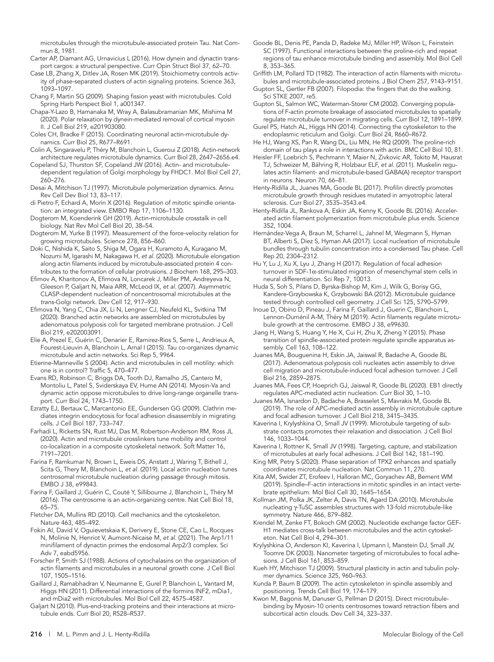microtubules through the microtubule-associated protein Tau. Nat Commun 8, 1981.

- Carter AP, Diamant AG, Urnavicius L (2016). How dynein and dynactin transport cargos: a structural perspective. Curr Opin Struct Biol 37, 62–70.
- Case LB, Zhang X, Ditlev JA, Rosen MK (2019). Stoichiometry controls activity of phase-separated clusters of actin signaling proteins. Science 363, 1093–1097.
- Chang F, Martin SG (2009). Shaping fission yeast with microtubules. Cold Spring Harb Perspect Biol 1, a001347.
- Chapa-Y-Lazo B, Hamanaka M, Wray A, Balasubramanian MK, Mishima M (2020). Polar relaxation by dynein-mediated removal of cortical myosin II. J Cell Biol 219, e201903080.
- Coles CH, Bradke F (2015). Coordinating neuronal actin-microtubule dynamics. Curr Biol 25, R677–R691.
- Colin A, Singaravelu P, Théry M, Blanchoin L, Gueroui Z (2018). Actin-network architecture regulates microtubule dynamics. Curr Biol 28, 2647–2656.e4.
- Copeland SJ, Thurston SF, Copeland JW (2016). Actin- and microtubuledependent regulation of Golgi morphology by FHDC1. Mol Biol Cell 27, 260–276.
- Desai A, Mitchison TJ (1997). Microtubule polymerization dynamics. Annu Rev Cell Dev Biol 13, 83–117.
- di Pietro F, Echard A, Morin X (2016). Regulation of mitotic spindle orientation: an integrated view. EMBO Rep 17, 1106–1130.
- Dogterom M, Koenderink GH (2019). Actin-microtubule crosstalk in cell biology. Nat Rev Mol Cell Biol 20, 38–54.
- Dogterom M, Yurke B (1997). Measurement of the force-velocity relation for growing microtubules. Science 278, 856–860.
- Doki C, Nishida K, Saito S, Shiga M, Ogara H, Kuramoto A, Kuragano M, Nozumi M, Igarashi M, Nakagawa H, *et al.* (2020). Microtubule elongation along actin filaments induced by microtubule-associated protein 4 contributes to the formation of cellular protrusions. J Biochem 168, 295–303.
- Efimov A, Kharitonov A, Efimova N, Loncarek J, Miller PM, Andreyeva N, Gleeson P, Galjart N, Maia ARR, McLeod IX, *et al.* (2007). Asymmetric CLASP-dependent nucleation of noncentrosomal microtubules at the *trans*-Golgi network. Dev Cell 12, 917–930.
- Efimova N, Yang C, Chia JX, Li N, Lengner CJ, Neufeld KL, Svitkina TM (2020). Branched actin networks are assembled on microtubules by adenomatous polyposis coli for targeted membrane protrusion. J Cell Biol 219, e202003091.
- Elie A, Prezel E, Guérin C, Denarier E, Ramirez-Rios S, Serre L, Andrieux A, Fourest-Lieuvin A, Blanchoin L, Arnal I (2015). Tau co-organizes dynamic microtubule and actin networks. Sci Rep 5, 9964.
- Etienne-Manneville S (2004). Actin and microtubules in cell motility: which one is in control? Traffic 5, 470–477.
- Evans RD, Robinson C, Briggs DA, Tooth DJ, Ramalho JS, Cantero M, Montoliu L, Patel S, Sviderskaya EV, Hume AN (2014). Myosin-Va and dynamic actin oppose microtubules to drive long-range organelle transport. Curr Biol 24, 1743–1750.
- Ezratty EJ, Bertaux C, Marcantonio EE, Gundersen GG (2009). Clathrin mediates integrin endocytosis for focal adhesion disassembly in migrating cells. J Cell Biol 187, 733–747.
- Farhadi L, Ricketts SN, Rust MJ, Das M, Robertson-Anderson RM, Ross JL (2020). Actin and microtubule crosslinkers tune mobility and control co-localization in a composite cytoskeletal network. Soft Matter 16, 7191–7201.
- Farina F, Ramkumar N, Brown L, Eweis DS, Anstatt J, Waring T, Bithell J, Scita G, Thery M, Blanchoin L, *et al.* (2019). Local actin nucleation tunes centrosomal microtubule nucleation during passage through mitosis. EMBO J 38, e99843.
- Farina F, Gaillard J, Guérin C, Couté Y, Sillibourne J, Blanchoin L, Théry M (2016). The centrosome is an actin-organizing centre. Nat Cell Biol 18, 65–75.
- Fletcher DA, Mullins RD (2010). Cell mechanics and the cytoskeleton. Nature 463, 485–492.
- Fokin AI, David V, Oguievetskaia K, Derivery E, Stone CE, Cao L, Rocques N, Molinie N, Henriot V, Aumont-Nicaise M, *et al.* (2021). The Arp1/11 minifilament of dynactin primes the endosomal Arp2/3 complex. Sci Adv 7, eabd5956.
- Forscher P, Smith SJ (1988). Actions of cytochalasins on the organization of actin filaments and microtubules in a neuronal growth cone. J Cell Biol 107, 1505–1516.
- Gaillard J, Ramabhadran V, Neumanne E, Gurel P, Blanchoin L, Vantard M, Higgs HN (2011). Differential interactions of the formins INF2, mDia1, and mDia2 with microtubules. Mol Biol Cell 22, 4575–4587.
- Galjart N (2010). Plus-end-tracking proteins and their interactions at microtubule ends. Curr Biol 20, R528–R537.
- Goode BL, Denis PE, Panda D, Radeke MJ, Miller HP, Wilson L, Feinstein SC (1997). Functional interactions between the proline-rich and repeat regions of tau enhance microtubule binding and assembly. Mol Biol Cell 8, 353–365.
- Griffith LM, Pollard TD (1982). The interaction of actin filaments with microtubules and microtubule-associated proteins. J Biol Chem 257, 9143–9151.
- Gupton SL, Gertler FB (2007). Filopodia: the fingers that do the walking. Sci STKE 2007, re5.
- Gupton SL, Salmon WC, Waterman-Storer CM (2002). Converging populations of F-actin promote breakage of associated microtubules to spatially regulate microtubule turnover in migrating cells. Curr Biol 12, 1891–1899.
- Gurel PS, Hatch AL, Higgs HN (2014). Connecting the cytoskeleton to the endoplasmic reticulum and Golgi. Curr Biol 24, R660–R672.
- He HJ, Wang XS, Pan R, Wang DL, Liu MN, He RQ (2009). The proline-rich domain of tau plays a role in interactions with actin. BMC Cell Biol 10, 81.
- Heisler FF, Loebrich S, Pechmann Y, Maier N, Zivkovic AR, Tokito M, Hausrat TJ, Schweizer M, Bähring R, Holzbaur ELF, *et al.* (2011). Muskelin regulates actin filament- and microtubule-based GABA(A) receptor transport in neurons. Neuron 70, 66–81.
- Henty-Ridilla JL, Juanes MA, Goode BL (2017). Profilin directly promotes microtubule growth through residues mutated in amyotrophic lateral sclerosis. Curr Biol 27, 3535–3543.e4.
- Henty-Ridilla JL, Rankova A, Eskin JA, Kenny K, Goode BL (2016). Accelerated actin filament polymerization from microtubule plus ends. Science 352, 1004.
- Hernández-Vega A, Braun M, Scharrel L, Jahnel M, Wegmann S, Hyman BT, Alberti S, Diez S, Hyman AA (2017). Local nucleation of microtubule bundles through tubulin concentration into a condensed Tau phase. Cell Rep 20, 2304–2312.
- Hu Y, Lu J, Xu X, Lyu J, Zhang H (2017). Regulation of focal adhesion turnover in SDF-1α-stimulated migration of mesenchymal stem cells in neural differentiation. Sci Rep 7, 10013.
- Huda S, Soh S, Pilans D, Byrska-Bishop M, Kim J, Wilk G, Borisy GG, Kandere-Grzybowska K, Grzybowski BA (2012). Microtubule guidance tested through controlled cell geometry. J Cell Sci 125, 5790–5799.
- Inoue D, Obino D, Pineau J, Farina F, Gaillard J, Guerin C, Blanchoin L, Lennon-Duménil A-M, Théry M (2019). Actin filaments regulate microtubule growth at the centrosome. EMBO J 38, e99630.
- Jiang H, Wang S, Huang Y, He X, Cui H, Zhu X, Zheng Y (2015). Phase transition of spindle-associated protein regulate spindle apparatus assembly. Cell 163, 108–122.
- Juanes MA, Bouguenina H, Eskin JA, Jaiswal R, Badache A, Goode BL (2017). Adenomatous polyposis coli nucleates actin assembly to drive cell migration and microtubule-induced focal adhesion turnover. J Cell Biol 216, 2859–2875.
- Juanes MA, Fees CP, Hoeprich GJ, Jaiswal R, Goode BL (2020). EB1 directly regulates APC-mediated actin nucleation. Curr Biol 30, 1–10.
- Juanes MA, Isnardon D, Badache A, Brasselet S, Mavrakis M, Goode BL (2019). The role of APC-mediated actin assembly in microtubule capture and focal adhesion turnover. J Cell Biol 218, 3415–3435.
- Kaverina I, Krylyshkina O, Small JV (1999). Microtubule targeting of substrate contacts promotes their relaxation and dissociation. J Cell Biol 146, 1033–1044.
- Kaverina I, Rottner K, Small JV (1998). Targeting, capture, and stabilization of microtubules at early focal adhesions. J Cell Biol 142, 181–190.
- King MR, Petry S (2020). Phase separation of TPX2 enhances and spatially coordinates microtubule nucleation. Nat Commun 11, 270.
- Kita AM, Swider ZT, Erofeev I, Halloran MC, Goryachev AB, Bement WM (2019). Spindle–F-actin interactions in mitotic spindles in an intact vertebrate epithelium. Mol Biol Cell 30, 1645–1654.
- Kollman JM, Polka JK, Zelter A, Davis TN, Agard DA (2010). Microtubule nucleating γ-TuSC assembles structures with 13-fold microtubule-like symmetry. Nature 466, 879–882.
- Krendel M, Zenke FT, Bokoch GM (2002). Nucleotide exchange factor GEF-H1 mediates cross-talk between microtubules and the actin cytoskeleton. Nat Cell Biol 4, 294–301.
- Krylyshkina O, Anderson KI, Kaverina I, Upmann I, Manstein DJ, Small JV, Toomre DK (2003). Nanometer targeting of microtubules to focal adhesions. J Cell Biol 161, 853–859.
- Kueh HY, Mitchison TJ (2009). Structural plasticity in actin and tubulin polymer dynamics. Science 325, 960–963.
- Kunda P, Baum B (2009). The actin cytoskeleton in spindle assembly and positioning. Trends Cell Biol 19, 174–179.
- Kwon M, Bagonis M, Danuser G, Pellman D (2015). Direct microtubulebinding by Myosin-10 orients centrosomes toward retraction fibers and subcortical actin clouds. Dev Cell 34, 323–337.